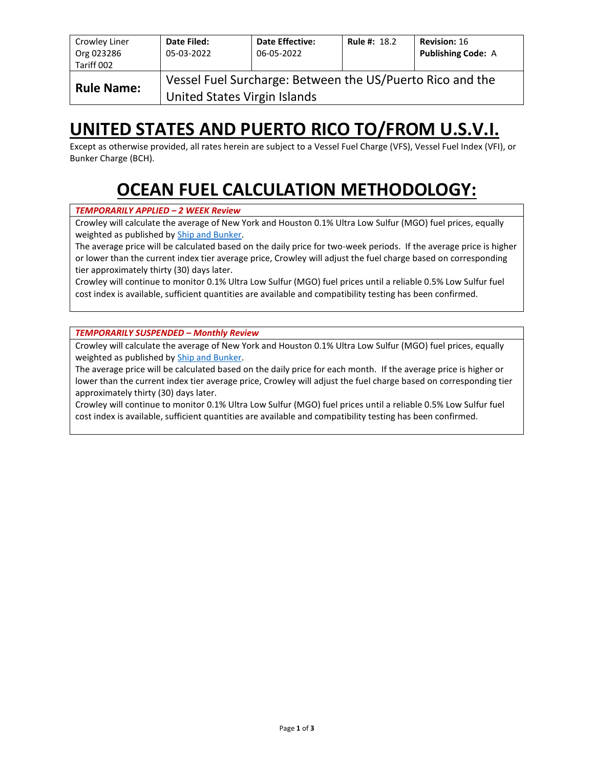| Crowley Liner<br>Org 023286<br>Tariff 002 | Date Filed:<br>05-03-2022                                                                 | <b>Date Effective:</b><br>06-05-2022 | <b>Rule #: 18.2</b> | <b>Revision: 16</b><br><b>Publishing Code: A</b> |  |  |  |  |
|-------------------------------------------|-------------------------------------------------------------------------------------------|--------------------------------------|---------------------|--------------------------------------------------|--|--|--|--|
| <b>Rule Name:</b>                         | Vessel Fuel Surcharge: Between the US/Puerto Rico and the<br>United States Virgin Islands |                                      |                     |                                                  |  |  |  |  |

# **UNITED STATES AND PUERTO RICO TO/FROM U.S.V.I.**

Except as otherwise provided, all rates herein are subject to a Vessel Fuel Charge (VFS), Vessel Fuel Index (VFI), or Bunker Charge (BCH).

# **OCEAN FUEL CALCULATION METHODOLOGY:**

#### *TEMPORARILY APPLIED – 2 WEEK Review*

Crowley will calculate the average of New York and Houston 0.1% Ultra Low Sulfur (MGO) fuel prices, equally weighted as published by [Ship and Bunker.](https://shipandbunker.com/)

The average price will be calculated based on the daily price for two-week periods. If the average price is higher or lower than the current index tier average price, Crowley will adjust the fuel charge based on corresponding tier approximately thirty (30) days later.

Crowley will continue to monitor 0.1% Ultra Low Sulfur (MGO) fuel prices until a reliable 0.5% Low Sulfur fuel cost index is available, sufficient quantities are available and compatibility testing has been confirmed.

*TEMPORARILY SUSPENDED – Monthly Review*

Crowley will calculate the average of New York and Houston 0.1% Ultra Low Sulfur (MGO) fuel prices, equally weighted as published by [Ship and Bunker.](https://shipandbunker.com/)

The average price will be calculated based on the daily price for each month. If the average price is higher or lower than the current index tier average price, Crowley will adjust the fuel charge based on corresponding tier approximately thirty (30) days later.

Crowley will continue to monitor 0.1% Ultra Low Sulfur (MGO) fuel prices until a reliable 0.5% Low Sulfur fuel cost index is available, sufficient quantities are available and compatibility testing has been confirmed.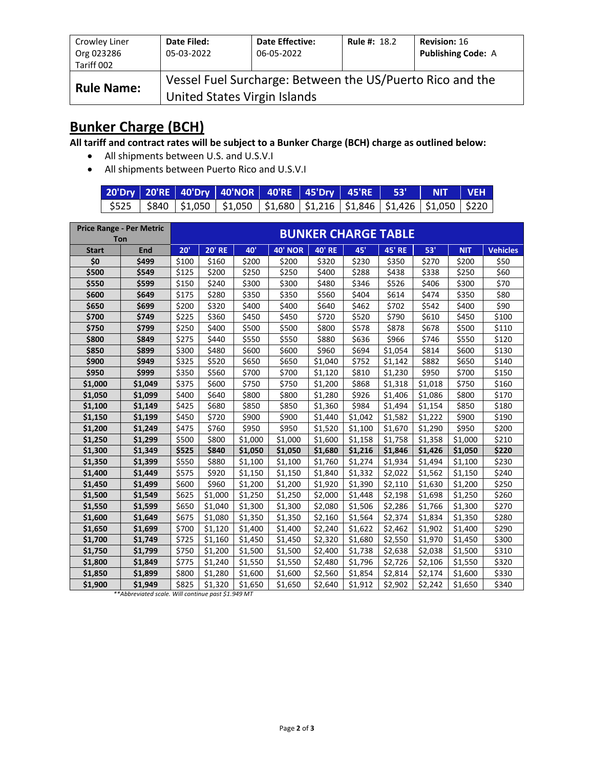| Crowley Liner<br>Org 023286<br>Tariff 002                                                                      | Date Filed:<br>05-03-2022 | <b>Date Effective:</b><br>06-05-2022 | <b>Rule #: 18.2</b> | <b>Revision: 16</b><br><b>Publishing Code: A</b> |  |  |  |
|----------------------------------------------------------------------------------------------------------------|---------------------------|--------------------------------------|---------------------|--------------------------------------------------|--|--|--|
| Vessel Fuel Surcharge: Between the US/Puerto Rico and the<br><b>Rule Name:</b><br>United States Virgin Islands |                           |                                      |                     |                                                  |  |  |  |

## **Bunker Charge (BCH)**

**All tariff and contract rates will be subject to a Bunker Charge (BCH) charge as outlined below:**

- All shipments between U.S. and U.S.V.I
- All shipments between Puerto Rico and U.S.V.I

|  | 20'Dry   20'RE   40'Dry   40'NOR   40'RE   45'Dry   45'RE   53'   NIT   VEH                 |  |  |  |
|--|---------------------------------------------------------------------------------------------|--|--|--|
|  | \$525   \$840   \$1,050   \$1,050   \$1,680   \$1,216   \$1,846   \$1,426   \$1,050   \$220 |  |  |  |

|              | <b>Price Range - Per Metric</b> |       | <b>BUNKER CHARGE TABLE</b> |         |                |               |         |               |         |            |                 |
|--------------|---------------------------------|-------|----------------------------|---------|----------------|---------------|---------|---------------|---------|------------|-----------------|
| Ton          |                                 |       |                            |         |                |               |         |               |         |            |                 |
| <b>Start</b> | End                             | 20'   | <b>20' RE</b>              | 40'     | <b>40' NOR</b> | <b>40' RE</b> | 45'     | <b>45' RE</b> | 53'     | <b>NIT</b> | <b>Vehicles</b> |
| \$0          | \$499                           | \$100 | \$160                      | \$200   | \$200          | \$320         | \$230   | \$350         | \$270   | \$200      | \$50            |
| \$500        | \$549                           | \$125 | \$200                      | \$250   | \$250          | \$400         | \$288   | \$438         | \$338   | \$250      | \$60            |
| \$550        | \$599                           | \$150 | \$240                      | \$300   | \$300          | \$480         | \$346   | \$526         | \$406   | \$300      | \$70            |
| \$600        | \$649                           | \$175 | \$280                      | \$350   | \$350          | \$560         | \$404   | \$614         | \$474   | \$350      | \$80            |
| \$650        | \$699                           | \$200 | \$320                      | \$400   | \$400          | \$640         | \$462   | \$702         | \$542   | \$400      | \$90            |
| \$700        | \$749                           | \$225 | \$360                      | \$450   | \$450          | \$720         | \$520   | \$790         | \$610   | \$450      | \$100           |
| \$750        | \$799                           | \$250 | \$400                      | \$500   | \$500          | \$800         | \$578   | \$878         | \$678   | \$500      | \$110           |
| \$800        | \$849                           | \$275 | \$440                      | \$550   | \$550          | \$880         | \$636   | \$966         | \$746   | \$550      | \$120           |
| \$850        | \$899                           | \$300 | \$480                      | \$600   | \$600          | \$960         | \$694   | \$1,054       | \$814   | \$600      | \$130           |
| \$900        | \$949                           | \$325 | \$520                      | \$650   | \$650          | \$1,040       | \$752   | \$1,142       | \$882   | \$650      | \$140           |
| \$950        | \$999                           | \$350 | \$560                      | \$700   | \$700          | \$1,120       | \$810   | \$1,230       | \$950   | \$700      | \$150           |
| \$1,000      | \$1,049                         | \$375 | \$600                      | \$750   | \$750          | \$1,200       | \$868   | \$1,318       | \$1,018 | \$750      | \$160           |
| \$1,050      | \$1,099                         | \$400 | \$640                      | \$800   | \$800          | \$1,280       | \$926   | \$1,406       | \$1,086 | \$800      | \$170           |
| \$1,100      | \$1,149                         | \$425 | \$680                      | \$850   | \$850          | \$1,360       | \$984   | \$1,494       | \$1,154 | \$850      | \$180           |
| \$1,150      | \$1,199                         | \$450 | \$720                      | \$900   | \$900          | \$1,440       | \$1,042 | \$1,582       | \$1,222 | \$900      | \$190           |
| \$1,200      | \$1,249                         | \$475 | \$760                      | \$950   | \$950          | \$1,520       | \$1,100 | \$1,670       | \$1,290 | \$950      | \$200           |
| \$1,250      | \$1,299                         | \$500 | \$800                      | \$1,000 | \$1,000        | \$1,600       | \$1,158 | \$1,758       | \$1,358 | \$1,000    | \$210           |
| \$1,300      | \$1,349                         | \$525 | \$840                      | \$1,050 | \$1,050        | \$1,680       | \$1,216 | \$1,846       | \$1,426 | \$1,050    | \$220           |
| \$1,350      | \$1,399                         | \$550 | \$880                      | \$1,100 | \$1,100        | \$1,760       | \$1,274 | \$1,934       | \$1,494 | \$1,100    | \$230           |
| \$1,400      | \$1,449                         | \$575 | \$920                      | \$1,150 | \$1,150        | \$1,840       | \$1,332 | \$2,022       | \$1,562 | \$1,150    | \$240           |
| \$1,450      | \$1,499                         | \$600 | \$960                      | \$1,200 | \$1,200        | \$1,920       | \$1,390 | \$2,110       | \$1,630 | \$1,200    | \$250           |
| \$1,500      | \$1,549                         | \$625 | \$1,000                    | \$1,250 | \$1,250        | \$2,000       | \$1,448 | \$2,198       | \$1,698 | \$1,250    | \$260           |
| \$1,550      | \$1,599                         | \$650 | \$1,040                    | \$1,300 | \$1,300        | \$2,080       | \$1,506 | \$2,286       | \$1,766 | \$1,300    | \$270           |
| \$1,600      | \$1,649                         | \$675 | \$1,080                    | \$1,350 | \$1,350        | \$2,160       | \$1,564 | \$2,374       | \$1,834 | \$1,350    | \$280           |
| \$1,650      | \$1,699                         | \$700 | \$1,120                    | \$1,400 | \$1,400        | \$2,240       | \$1,622 | \$2,462       | \$1,902 | \$1,400    | \$290           |
| \$1,700      | \$1,749                         | \$725 | \$1,160                    | \$1,450 | \$1,450        | \$2,320       | \$1,680 | \$2,550       | \$1,970 | \$1,450    | \$300           |
| \$1,750      | \$1,799                         | \$750 | \$1,200                    | \$1,500 | \$1,500        | \$2,400       | \$1,738 | \$2,638       | \$2,038 | \$1,500    | \$310           |
| \$1,800      | \$1,849                         | \$775 | \$1,240                    | \$1,550 | \$1,550        | \$2,480       | \$1,796 | \$2,726       | \$2,106 | \$1,550    | \$320           |
| \$1,850      | \$1,899                         | \$800 | \$1,280                    | \$1,600 | \$1,600        | \$2,560       | \$1,854 | \$2,814       | \$2,174 | \$1,600    | \$330           |
| \$1,900      | \$1,949                         | \$825 | \$1,320                    | \$1,650 | \$1,650        | \$2,640       | \$1,912 | \$2,902       | \$2,242 | \$1,650    | \$340           |

*\*\*Abbreviated scale. Will continue past \$1.949 MT*